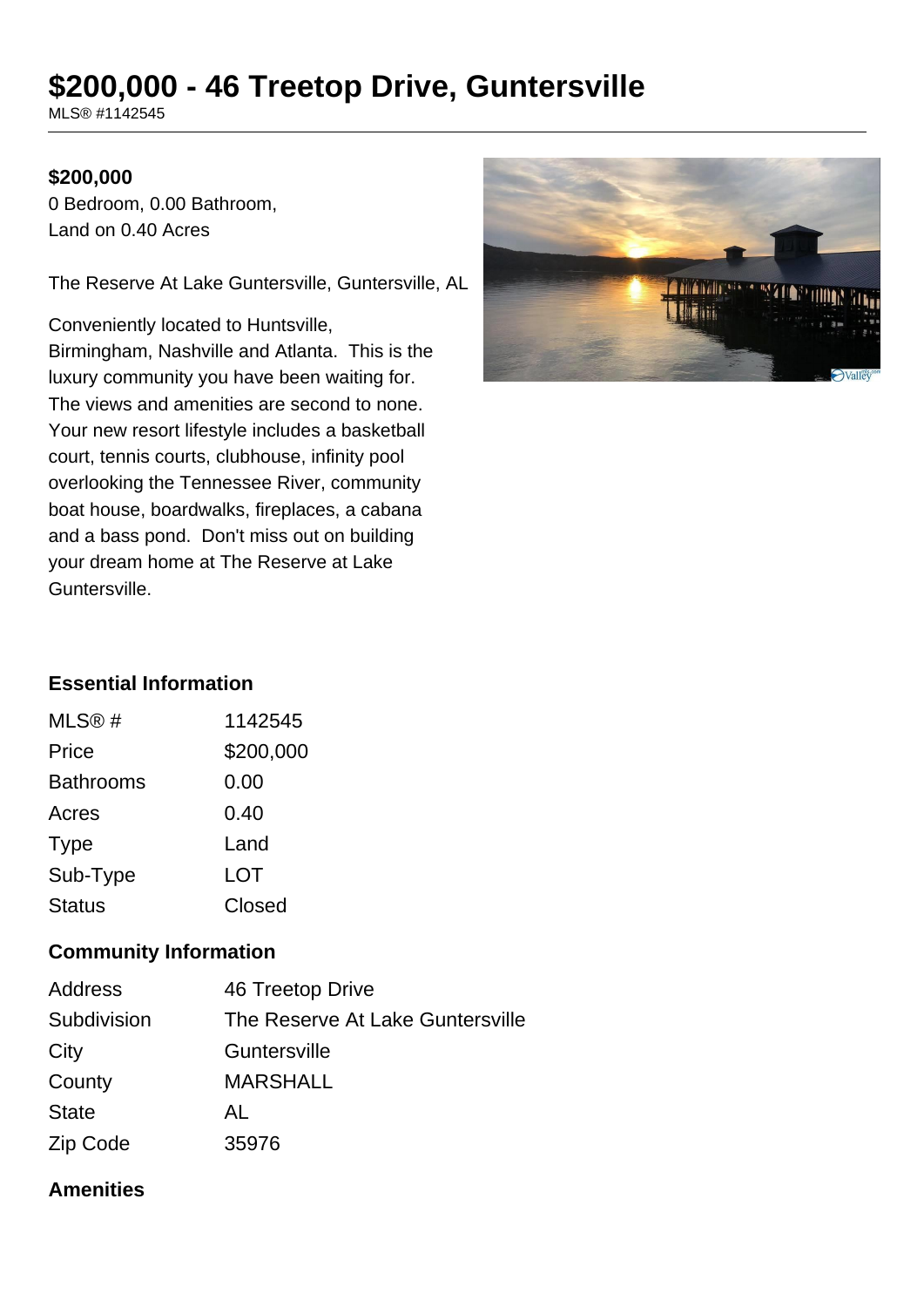# **\$200,000 - 46 Treetop Drive, Guntersville**

MLS® #1142545

### **\$200,000**

0 Bedroom, 0.00 Bathroom, Land on 0.40 Acres

The Reserve At Lake Guntersville, Guntersville, AL

Conveniently located to Huntsville, Birmingham, Nashville and Atlanta. This is the luxury community you have been waiting for. The views and amenities are second to none. Your new resort lifestyle includes a basketball court, tennis courts, clubhouse, infinity pool overlooking the Tennessee River, community boat house, boardwalks, fireplaces, a cabana and a bass pond. Don't miss out on building your dream home at The Reserve at Lake Guntersville.



# **Essential Information**

| MLS@#            | 1142545   |  |
|------------------|-----------|--|
| Price            | \$200,000 |  |
| <b>Bathrooms</b> | 0.00      |  |
| Acres            | 0.40      |  |
| <b>Type</b>      | Land      |  |
| Sub-Type         | LOT       |  |
| <b>Status</b>    | Closed    |  |

## **Community Information**

| Address      | 46 Treetop Drive                 |
|--------------|----------------------------------|
| Subdivision  | The Reserve At Lake Guntersville |
| City         | Guntersville                     |
| County       | <b>MARSHALL</b>                  |
| <b>State</b> | AL                               |
| Zip Code     | 35976                            |

#### **Amenities**